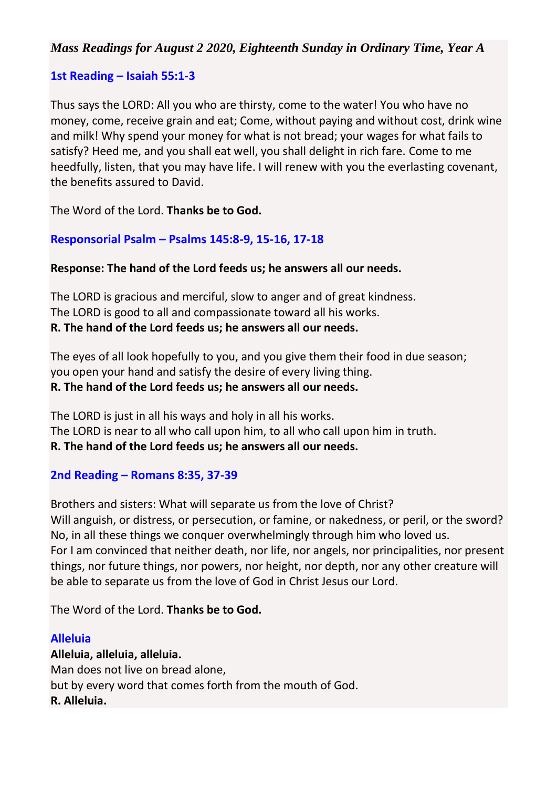# **1st Reading – Isaiah 55:1-3**

Thus says the LORD: All you who are thirsty, come to the water! You who have no money, come, receive grain and eat; Come, without paying and without cost, drink wine and milk! Why spend your money for what is not bread; your wages for what fails to satisfy? Heed me, and you shall eat well, you shall delight in rich fare. Come to me heedfully, listen, that you may have life. I will renew with you the everlasting covenant, the benefits assured to David.

The Word of the Lord. **Thanks be to God.**

## **Responsorial Psalm – Psalms 145:8-9, 15-16, 17-18**

## **Response: The hand of the Lord feeds us; he answers all our needs.**

The LORD is gracious and merciful, slow to anger and of great kindness. The LORD is good to all and compassionate toward all his works. **R. The hand of the Lord feeds us; he answers all our needs.**

The eyes of all look hopefully to you, and you give them their food in due season; you open your hand and satisfy the desire of every living thing. **R. The hand of the Lord feeds us; he answers all our needs.**

The LORD is just in all his ways and holy in all his works. The LORD is near to all who call upon him, to all who call upon him in truth. **R. The hand of the Lord feeds us; he answers all our needs.**

## **2nd Reading – Romans 8:35, 37-39**

Brothers and sisters: What will separate us from the love of Christ? Will anguish, or distress, or persecution, or famine, or nakedness, or peril, or the sword? No, in all these things we conquer overwhelmingly through him who loved us. For I am convinced that neither death, nor life, nor angels, nor principalities, nor present things, nor future things, nor powers, nor height, nor depth, nor any other creature will be able to separate us from the love of God in Christ Jesus our Lord.

The Word of the Lord. **Thanks be to God.**

## **Alleluia**

**Alleluia, alleluia, alleluia.** Man does not live on bread alone, but by every word that comes forth from the mouth of God. **R. Alleluia.**